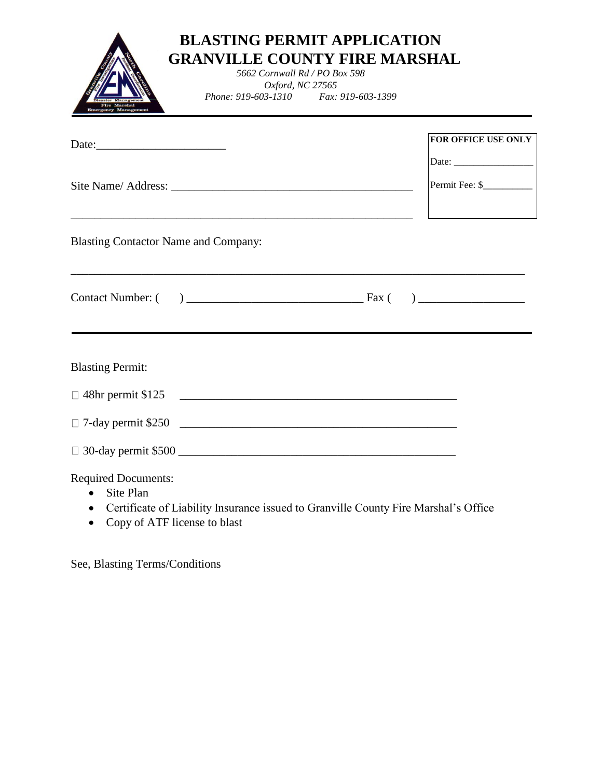| <b>BLASTING PERMIT APPLICATION</b><br><b>GRANVILLE COUNTY FIRE MARSHAL</b><br>5662 Cornwall Rd / PO Box 598<br>Oxford, NC 27565<br>Phone: 919-603-1310 Fax: 919-603-1399<br><b>Emergency Managemen</b> |                            |
|--------------------------------------------------------------------------------------------------------------------------------------------------------------------------------------------------------|----------------------------|
|                                                                                                                                                                                                        | FOR OFFICE USE ONLY        |
|                                                                                                                                                                                                        |                            |
|                                                                                                                                                                                                        | Permit Fee: \$____________ |
| <b>Blasting Contactor Name and Company:</b>                                                                                                                                                            |                            |
|                                                                                                                                                                                                        |                            |
| <b>Blasting Permit:</b>                                                                                                                                                                                |                            |
| □ 48hr permit \$125                                                                                                                                                                                    |                            |
| □ 7-day permit \$250                                                                                                                                                                                   |                            |
|                                                                                                                                                                                                        |                            |
| <b>Required Documents:</b><br>Site Plan                                                                                                                                                                |                            |

- Certificate of Liability Insurance issued to Granville County Fire Marshal's Office
- Copy of ATF license to blast

See, Blasting Terms/Conditions